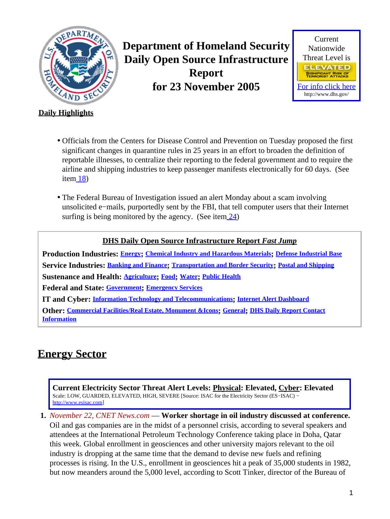<span id="page-0-1"></span>

**Department of Homeland Security Daily Open Source Infrastructure Report for 23 November 2005**



### **Daily Highlights**

- Officials from the Centers for Disease Control and Prevention on Tuesday proposed the first significant changes in quarantine rules in 25 years in an effort to broaden the definition of reportable illnesses, to centralize their reporting to the federal government and to require the airline and shipping industries to keep passenger manifests electronically for 60 days. (See item  $18$ )
- The Federal Bureau of Investigation issued an alert Monday about a scam involving unsolicited e−mails, purportedly sent by the FBI, that tell computer users that their Internet surfing is being monitored by the agency. (See item  $\frac{24}{3}$ )

### **DHS Daily Open Source Infrastructure Report** *Fast Jump*

**Production Industries: [Energy](#page-0-0); [Chemical Industry and Hazardous Materials](#page-1-0); [Defense Industrial Base](#page-2-0) Service Industries: [Banking and Finance](#page-2-1); [Transportation and Border Security](#page-3-0); [Postal and Shipping](#page-4-0) Sustenance and Health: [Agriculture](#page-4-1); [Food](#page-5-0); [Water](#page-6-0); [Public Health](#page-7-1) Federal and State: [Government](#page-9-1); [Emergency Services](#page-9-2) IT and Cyber: [Information Technology and Telecommunications](#page-9-3); [Internet Alert Dashboard](#page-11-0) Other: [Commercial Facilities/Real Estate, Monument &Icons](#page-12-0); [General](#page-13-0); [DHS Daily Report Contact](#page-13-1) [Information](#page-13-1)**

# <span id="page-0-0"></span>**Energy Sector**

**Current Electricity Sector Threat Alert Levels: Physical: Elevated, Cyber: Elevated** Scale: LOW, GUARDED, ELEVATED, HIGH, SEVERE [Source: ISAC for the Electricity Sector (ES−ISAC) − [http://www.esisac.com](http://esisac.com)]

**1.** *November 22, CNET News.com* — **Worker shortage in oil industry discussed at conference.** Oil and gas companies are in the midst of a personnel crisis, according to several speakers and attendees at the International Petroleum Technology Conference taking place in Doha, Qatar this week. Global enrollment in geosciences and other university majors relevant to the oil industry is dropping at the same time that the demand to devise new fuels and refining processes is rising. In the U.S., enrollment in geosciences hit a peak of 35,000 students in 1982, but now meanders around the 5,000 level, according to Scott Tinker, director of the Bureau of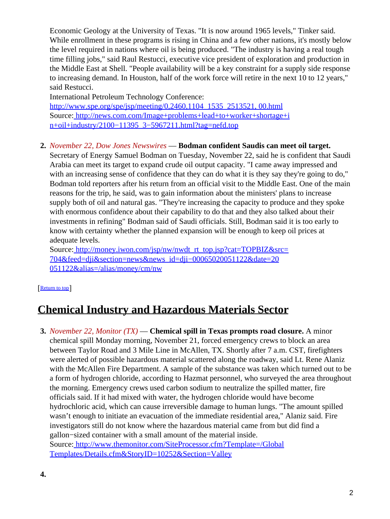Economic Geology at the University of Texas. "It is now around 1965 levels," Tinker said. While enrollment in these programs is rising in China and a few other nations, it's mostly below the level required in nations where oil is being produced. "The industry is having a real tough time filling jobs," said Raul Restucci, executive vice president of exploration and production in the Middle East at Shell. "People availability will be a key constraint for a supply side response to increasing demand. In Houston, half of the work force will retire in the next 10 to 12 years," said Restucci.

International Petroleum Technology Conference: [http://www.spe.org/spe/jsp/meeting/0,2460,1104\\_1535\\_2513521, 00.html](http://www.spe.org/spe/jsp/meeting/0,2460,1104_1535_2513521,00.html) Source[: http://news.com.com/Image+problems+lead+to+worker+shortage+i](http://news.com.com/Image+problems+lead+to+worker+shortage+in+oil+industry/2100-11395_3-5967211.html?tag=nefd.top) [n+oil+industry/2100−11395\\_3−5967211.html?tag=nefd.top](http://news.com.com/Image+problems+lead+to+worker+shortage+in+oil+industry/2100-11395_3-5967211.html?tag=nefd.top)

### **2.** *November 22, Dow Jones Newswires* — **Bodman confident Saudis can meet oil target.**

Secretary of Energy Samuel Bodman on Tuesday, November 22, said he is confident that Saudi Arabia can meet its target to expand crude oil output capacity. "I came away impressed and with an increasing sense of confidence that they can do what it is they say they're going to do," Bodman told reporters after his return from an official visit to the Middle East. One of the main reasons for the trip, he said, was to gain information about the ministers' plans to increase supply both of oil and natural gas. "They're increasing the capacity to produce and they spoke with enormous confidence about their capability to do that and they also talked about their investments in refining" Bodman said of Saudi officials. Still, Bodman said it is too early to know with certainty whether the planned expansion will be enough to keep oil prices at adequate levels.

Source[: http://money.iwon.com/jsp/nw/nwdt\\_rt\\_top.jsp?cat=TOPBIZ&src=](http://money.iwon.com/jsp/nw/nwdt_rt_top.jsp?cat=TOPBIZ&src=704&feed=dji§ion=news&news_id=dji-00065020051122&date=20051122&alias=/alias/money/cm/nw) 704&feed=dji&section=news&news\_id=dji-00065020051122&date=20 [051122&alias=/alias/money/cm/nw](http://money.iwon.com/jsp/nw/nwdt_rt_top.jsp?cat=TOPBIZ&src=704&feed=dji§ion=news&news_id=dji-00065020051122&date=20051122&alias=/alias/money/cm/nw)

#### [[Return to top](#page-0-1)]

## <span id="page-1-0"></span>**Chemical Industry and Hazardous Materials Sector**

**3.** *November 22, Monitor (TX)* — **Chemical spill in Texas prompts road closure.** A minor chemical spill Monday morning, November 21, forced emergency crews to block an area between Taylor Road and 3 Mile Line in McAllen, TX. Shortly after 7 a.m. CST, firefighters were alerted of possible hazardous material scattered along the roadway, said Lt. Rene Alaniz with the McAllen Fire Department. A sample of the substance was taken which turned out to be a form of hydrogen chloride, according to Hazmat personnel, who surveyed the area throughout the morning. Emergency crews used carbon sodium to neutralize the spilled matter, fire officials said. If it had mixed with water, the hydrogen chloride would have become hydrochloric acid, which can cause irreversible damage to human lungs. "The amount spilled wasn't enough to initiate an evacuation of the immediate residential area," Alaniz said. Fire investigators still do not know where the hazardous material came from but did find a gallon−sized container with a small amount of the material inside. Source[: http://www.themonitor.com/SiteProcessor.cfm?Template=/Global](http://www.themonitor.com/SiteProcessor.cfm?Template=/GlobalTemplates/Details.cfm&StoryID=10252&Section=Valley) [Templates/Details.cfm&StoryID=10252&Section=Valley](http://www.themonitor.com/SiteProcessor.cfm?Template=/GlobalTemplates/Details.cfm&StoryID=10252&Section=Valley)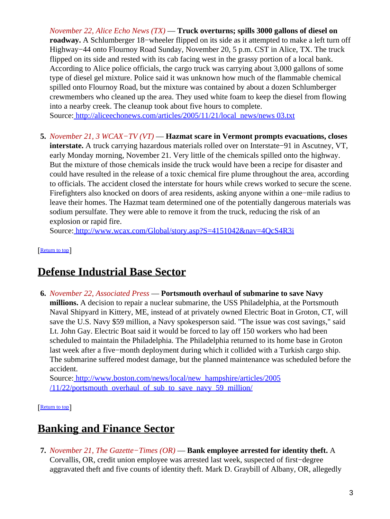*November 22, Alice Echo News (TX)* — **Truck overturns; spills 3000 gallons of diesel on roadway.** A Schlumberger 18−wheeler flipped on its side as it attempted to make a left turn off Highway−44 onto Flournoy Road Sunday, November 20, 5 p.m. CST in Alice, TX. The truck flipped on its side and rested with its cab facing west in the grassy portion of a local bank. According to Alice police officials, the cargo truck was carrying about 3,000 gallons of some type of diesel gel mixture. Police said it was unknown how much of the flammable chemical spilled onto Flournoy Road, but the mixture was contained by about a dozen Schlumberger crewmembers who cleaned up the area. They used white foam to keep the diesel from flowing into a nearby creek. The cleanup took about five hours to complete.

Source[: http://aliceechonews.com/articles/2005/11/21/local\\_news/news 03.txt](http://aliceechonews.com/articles/2005/11/21/local_news/news03.txt)

**5.** *November 21, 3 WCAX−TV (VT)* — **Hazmat scare in Vermont prompts evacuations, closes interstate.** A truck carrying hazardous materials rolled over on Interstate−91 in Ascutney, VT, early Monday morning, November 21. Very little of the chemicals spilled onto the highway. But the mixture of those chemicals inside the truck would have been a recipe for disaster and could have resulted in the release of a toxic chemical fire plume throughout the area, according to officials. The accident closed the interstate for hours while crews worked to secure the scene. Firefighters also knocked on doors of area residents, asking anyone within a one−mile radius to leave their homes. The Hazmat team determined one of the potentially dangerous materials was sodium persulfate. They were able to remove it from the truck, reducing the risk of an explosion or rapid fire.

Source[: http://www.wcax.com/Global/story.asp?S=4151042&nav=4QcS4R3i](http://www.wcax.com/Global/story.asp?S=4151042&nav=4QcS4R3i)

[[Return to top](#page-0-1)]

## <span id="page-2-0"></span>**Defense Industrial Base Sector**

**6.** *November 22, Associated Press* — **Portsmouth overhaul of submarine to save Navy millions.** A decision to repair a nuclear submarine, the USS Philadelphia, at the Portsmouth Naval Shipyard in Kittery, ME, instead of at privately owned Electric Boat in Groton, CT, will save the U.S. Navy \$59 million, a Navy spokesperson said. "The issue was cost savings," said Lt. John Gay. Electric Boat said it would be forced to lay off 150 workers who had been scheduled to maintain the Philadelphia. The Philadelphia returned to its home base in Groton last week after a five−month deployment during which it collided with a Turkish cargo ship. The submarine suffered modest damage, but the planned maintenance was scheduled before the accident.

Source[: http://www.boston.com/news/local/new\\_hampshire/articles/2005](http://www.boston.com/news/local/new_hampshire/articles/2005/11/22/portsmouth_overhaul_of_sub_to_save_navy_59_million/)  $/11/22$ /portsmouth overhaul of sub to save navy 59 million/

[[Return to top](#page-0-1)]

# <span id="page-2-1"></span>**Banking and Finance Sector**

**7.** *November 21, The Gazette−Times (OR)* — **Bank employee arrested for identity theft.** A Corvallis, OR, credit union employee was arrested last week, suspected of first−degree aggravated theft and five counts of identity theft. Mark D. Graybill of Albany, OR, allegedly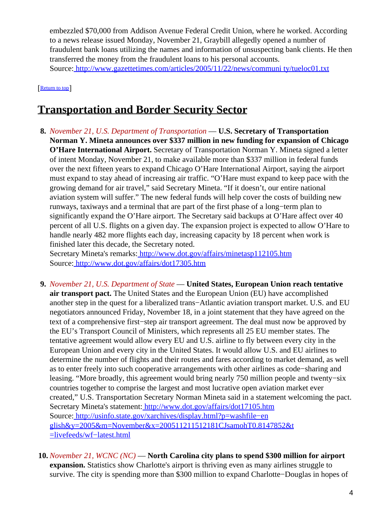embezzled \$70,000 from Addison Avenue Federal Credit Union, where he worked. According to a news release issued Monday, November 21, Graybill allegedly opened a number of fraudulent bank loans utilizing the names and information of unsuspecting bank clients. He then transferred the money from the fraudulent loans to his personal accounts. Source[: http://www.gazettetimes.com/articles/2005/11/22/news/communi ty/tueloc01.txt](http://www.gazettetimes.com/articles/2005/11/22/news/community/tueloc01.txt)

[[Return to top](#page-0-1)]

# <span id="page-3-0"></span>**Transportation and Border Security Sector**

**8.** *November 21, U.S. Department of Transportation* — **U.S. Secretary of Transportation Norman Y. Mineta announces over \$337 million in new funding for expansion of Chicago O'Hare International Airport.** Secretary of Transportation Norman Y. Mineta signed a letter of intent Monday, November 21, to make available more than \$337 million in federal funds over the next fifteen years to expand Chicago O'Hare International Airport, saying the airport must expand to stay ahead of increasing air traffic. "O'Hare must expand to keep pace with the growing demand for air travel," said Secretary Mineta. "If it doesn't, our entire national aviation system will suffer." The new federal funds will help cover the costs of building new runways, taxiways and a terminal that are part of the first phase of a long−term plan to significantly expand the O'Hare airport. The Secretary said backups at O'Hare affect over 40 percent of all U.S. flights on a given day. The expansion project is expected to allow O'Hare to handle nearly 482 more flights each day, increasing capacity by 18 percent when work is finished later this decade, the Secretary noted.

Secretary Mineta's remarks[: http://www.dot.gov/affairs/minetasp112105.htm](http://www.dot.gov/affairs/minetasp112105.htm) Source[: http://www.dot.gov/affairs/dot17305.htm](http://www.dot.gov/affairs/dot17305.htm)

- **9.** *November 21, U.S. Department of State* — **United States, European Union reach tentative air transport pact.** The United States and the European Union (EU) have accomplished another step in the quest for a liberalized trans−Atlantic aviation transport market. U.S. and EU negotiators announced Friday, November 18, in a joint statement that they have agreed on the text of a comprehensive first−step air transport agreement. The deal must now be approved by the EU's Transport Council of Ministers, which represents all 25 EU member states. The tentative agreement would allow every EU and U.S. airline to fly between every city in the European Union and every city in the United States. It would allow U.S. and EU airlines to determine the number of flights and their routes and fares according to market demand, as well as to enter freely into such cooperative arrangements with other airlines as code−sharing and leasing. "More broadly, this agreement would bring nearly 750 million people and twenty−six countries together to comprise the largest and most lucrative open aviation market ever created," U.S. Transportation Secretary Norman Mineta said in a statement welcoming the pact. Secretary Mineta's statement[: http://www.dot.gov/affairs/dot17105.htm](http://www.dot.gov/affairs/dot17105.htm) Source[: http://usinfo.state.gov/xarchives/display.html?p=washfile−en](http://usinfo.state.gov/xarchives/display.html?p=washfile-english&y=2005&m=November&x=200511211512181CJsamohT0.8147852&t=livefeeds/wf-latest.html) [glish&y=2005&m=November&x=200511211512181CJsamohT0.8147852&t](http://usinfo.state.gov/xarchives/display.html?p=washfile-english&y=2005&m=November&x=200511211512181CJsamohT0.8147852&t=livefeeds/wf-latest.html) [=livefeeds/wf−latest.html](http://usinfo.state.gov/xarchives/display.html?p=washfile-english&y=2005&m=November&x=200511211512181CJsamohT0.8147852&t=livefeeds/wf-latest.html)
- **10.** *November 21, WCNC (NC)* — **North Carolina city plans to spend \$300 million for airport expansion.** Statistics show Charlotte's airport is thriving even as many airlines struggle to survive. The city is spending more than \$300 million to expand Charlotte−Douglas in hopes of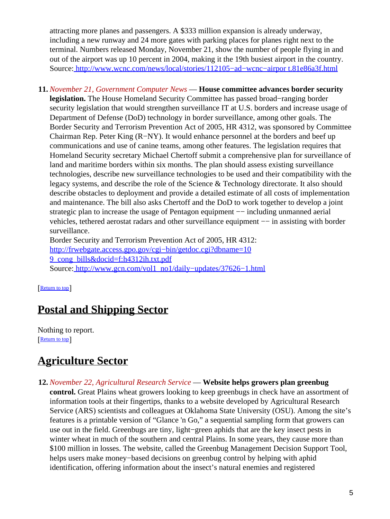attracting more planes and passengers. A \$333 million expansion is already underway, including a new runway and 24 more gates with parking places for planes right next to the terminal. Numbers released Monday, November 21, show the number of people flying in and out of the airport was up 10 percent in 2004, making it the 19th busiest airport in the country. Source[: http://www.wcnc.com/news/local/stories/112105−ad−wcnc−airpor t.81e86a3f.html](http://www.wcnc.com/news/local/stories/112105-ad-wcnc-airport.81e86a3f.html)

**11.** *November 21, Government Computer News* — **House committee advances border security legislation.** The House Homeland Security Committee has passed broad−ranging border security legislation that would strengthen surveillance IT at U.S. borders and increase usage of Department of Defense (DoD) technology in border surveillance, among other goals. The Border Security and Terrorism Prevention Act of 2005, HR 4312, was sponsored by Committee Chairman Rep. Peter King (R−NY). It would enhance personnel at the borders and beef up communications and use of canine teams, among other features. The legislation requires that Homeland Security secretary Michael Chertoff submit a comprehensive plan for surveillance of land and maritime borders within six months. The plan should assess existing surveillance technologies, describe new surveillance technologies to be used and their compatibility with the legacy systems, and describe the role of the Science & Technology directorate. It also should describe obstacles to deployment and provide a detailed estimate of all costs of implementation and maintenance. The bill also asks Chertoff and the DoD to work together to develop a joint strategic plan to increase the usage of Pentagon equipment —– including unmanned aerial vehicles, tethered aerostat radars and other surveillance equipment −− in assisting with border surveillance.

Border Security and Terrorism Prevention Act of 2005, HR 4312: [http://frwebgate.access.gpo.gov/cgi−bin/getdoc.cgi?dbname=10](http://frwebgate.access.gpo.gov/cgi-bin/getdoc.cgi?dbname=109_cong_bills&docid=f:h4312ih.txt.pdf) [9\\_cong\\_bills&docid=f:h4312ih.txt.pdf](http://frwebgate.access.gpo.gov/cgi-bin/getdoc.cgi?dbname=109_cong_bills&docid=f:h4312ih.txt.pdf) Source[: http://www.gcn.com/vol1\\_no1/daily−updates/37626−1.html](http://www.gcn.com/vol1_no1/daily-updates/37626-1.html)

[[Return to top](#page-0-1)]

# <span id="page-4-0"></span>**Postal and Shipping Sector**

Nothing to report. [[Return to top](#page-0-1)]

# <span id="page-4-1"></span>**Agriculture Sector**

- **12.** *November 22, Agricultural Research Service* — **Website helps growers plan greenbug**
	- **control.** Great Plains wheat growers looking to keep greenbugs in check have an assortment of information tools at their fingertips, thanks to a website developed by Agricultural Research Service (ARS) scientists and colleagues at Oklahoma State University (OSU). Among the site's features is a printable version of "Glance 'n Go," a sequential sampling form that growers can use out in the field. Greenbugs are tiny, light−green aphids that are the key insect pests in winter wheat in much of the southern and central Plains. In some years, they cause more than \$100 million in losses. The website, called the Greenbug Management Decision Support Tool, helps users make money−based decisions on greenbug control by helping with aphid identification, offering information about the insect's natural enemies and registered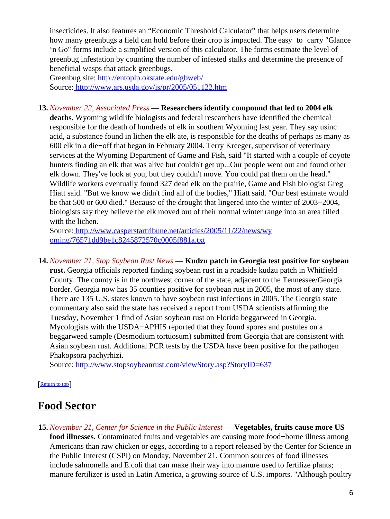insecticides. It also features an "Economic Threshold Calculator" that helps users determine how many greenbugs a field can hold before their crop is impacted. The easy−to−carry "Glance 'n Go" forms include a simplified version of this calculator. The forms estimate the level of greenbug infestation by counting the number of infested stalks and determine the presence of beneficial wasps that attack greenbugs.

Greenbug site[: http://entoplp.okstate.edu/gbweb/](http://entoplp.okstate.edu/gbweb/) Source[: http://www.ars.usda.gov/is/pr/2005/051122.htm](http://www.ars.usda.gov/is/pr/2005/051122.htm)

**13.** *November 22, Associated Press* — **Researchers identify compound that led to 2004 elk deaths.** Wyoming wildlife biologists and federal researchers have identified the chemical responsible for the death of hundreds of elk in southern Wyoming last year. They say usinc acid, a substance found in lichen the elk ate, is responsible for the deaths of perhaps as many as 600 elk in a die−off that began in February 2004. Terry Kreeger, supervisor of veterinary services at the Wyoming Department of Game and Fish, said "It started with a couple of coyote hunters finding an elk that was alive but couldn't get up...Our people went out and found other elk down. They've look at you, but they couldn't move. You could pat them on the head." Wildlife workers eventually found 327 dead elk on the prairie, Game and Fish biologist Greg Hiatt said. "But we know we didn't find all of the bodies," Hiatt said. "Our best estimate would be that 500 or 600 died." Because of the drought that lingered into the winter of 2003−2004, biologists say they believe the elk moved out of their normal winter range into an area filled with the lichen.

Source[: http://www.casperstartribune.net/articles/2005/11/22/news/wy](http://www.casperstartribune.net/articles/2005/11/22/news/wyoming/76571dd9be1c8245872570c0005f881a.txt) [oming/76571dd9be1c8245872570c0005f881a.txt](http://www.casperstartribune.net/articles/2005/11/22/news/wyoming/76571dd9be1c8245872570c0005f881a.txt)

**14.** *November 21, Stop Soybean Rust News* — **Kudzu patch in Georgia test positive for soybean rust.** Georgia officials reported finding soybean rust in a roadside kudzu patch in Whitfield County. The county is in the northwest corner of the state, adjacent to the Tennessee/Georgia border. Georgia now has 35 counties positive for soybean rust in 2005, the most of any state. There are 135 U.S. states known to have soybean rust infections in 2005. The Georgia state commentary also said the state has received a report from USDA scientists affirming the Tuesday, November 1 find of Asian soybean rust on Florida beggarweed in Georgia. Mycologists with the USDA−APHIS reported that they found spores and pustules on a beggarweed sample (Desmodium tortuosum) submitted from Georgia that are consistent with Asian soybean rust. Additional PCR tests by the USDA have been positive for the pathogen Phakopsora pachyrhizi.

Source[: http://www.stopsoybeanrust.com/viewStory.asp?StoryID=637](http://www.stopsoybeanrust.com/viewStory.asp?StoryID=637)

[[Return to top](#page-0-1)]

# <span id="page-5-0"></span>**Food Sector**

**15.** *November 21, Center for Science in the Public Interest* — **Vegetables, fruits cause more US food illnesses.** Contaminated fruits and vegetables are causing more food−borne illness among Americans than raw chicken or eggs, according to a report released by the Center for Science in the Public Interest (CSPI) on Monday, November 21. Common sources of food illnesses include salmonella and E.coli that can make their way into manure used to fertilize plants; manure fertilizer is used in Latin America, a growing source of U.S. imports. "Although poultry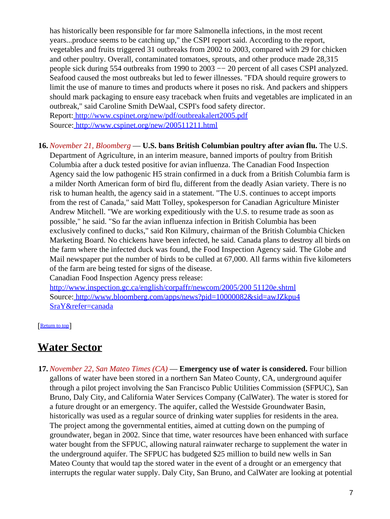has historically been responsible for far more Salmonella infections, in the most recent years...produce seems to be catching up," the CSPI report said. According to the report, vegetables and fruits triggered 31 outbreaks from 2002 to 2003, compared with 29 for chicken and other poultry. Overall, contaminated tomatoes, sprouts, and other produce made 28,315 people sick during 554 outbreaks from 1990 to 2003 −− 20 percent of all cases CSPI analyzed. Seafood caused the most outbreaks but led to fewer illnesses. "FDA should require growers to limit the use of manure to times and products where it poses no risk. And packers and shippers should mark packaging to ensure easy traceback when fruits and vegetables are implicated in an outbreak," said Caroline Smith DeWaal, CSPI's food safety director.

Report:<http://www.cspinet.org/new/pdf/outbreakalert2005.pdf> Source[: http://www.cspinet.org/new/200511211.html](http://www.cspinet.org/new/200511211.html)

**16.** *November 21, Bloomberg* — **U.S. bans British Columbian poultry after avian flu.** The U.S. Department of Agriculture, in an interim measure, banned imports of poultry from British Columbia after a duck tested positive for avian influenza. The Canadian Food Inspection Agency said the low pathogenic H5 strain confirmed in a duck from a British Columbia farm is a milder North American form of bird flu, different from the deadly Asian variety. There is no risk to human health, the agency said in a statement. "The U.S. continues to accept imports from the rest of Canada," said Matt Tolley, spokesperson for Canadian Agriculture Minister Andrew Mitchell. "We are working expeditiously with the U.S. to resume trade as soon as possible," he said. "So far the avian influenza infection in British Columbia has been exclusively confined to ducks," said Ron Kilmury, chairman of the British Columbia Chicken Marketing Board. No chickens have been infected, he said. Canada plans to destroy all birds on the farm where the infected duck was found, the Food Inspection Agency said. The Globe and Mail newspaper put the number of birds to be culled at 67,000. All farms within five kilometers of the farm are being tested for signs of the disease.

Canadian Food Inspection Agency press release:

[http://www.inspection.gc.ca/english/corpaffr/newcom/2005/200 51120e.shtml](http://www.inspection.gc.ca/english/corpaffr/newcom/2005/20051120e.shtml) Source[: http://www.bloomberg.com/apps/news?pid=10000082&sid=awJZkpu4](http://www.bloomberg.com/apps/news?pid=10000082&sid=awJZkpu4SraY&refer=canada) [SraY&refer=canada](http://www.bloomberg.com/apps/news?pid=10000082&sid=awJZkpu4SraY&refer=canada)

[[Return to top](#page-0-1)]

## <span id="page-6-0"></span>**Water Sector**

**17.** *November 22, San Mateo Times (CA)* — **Emergency use of water is considered.** Four billion gallons of water have been stored in a northern San Mateo County, CA, underground aquifer through a pilot project involving the San Francisco Public Utilities Commission (SFPUC), San Bruno, Daly City, and California Water Services Company (CalWater). The water is stored for a future drought or an emergency. The aquifer, called the Westside Groundwater Basin, historically was used as a regular source of drinking water supplies for residents in the area. The project among the governmental entities, aimed at cutting down on the pumping of groundwater, began in 2002. Since that time, water resources have been enhanced with surface water bought from the SFPUC, allowing natural rainwater recharge to supplement the water in the underground aquifer. The SFPUC has budgeted \$25 million to build new wells in San Mateo County that would tap the stored water in the event of a drought or an emergency that interrupts the regular water supply. Daly City, San Bruno, and CalWater are looking at potential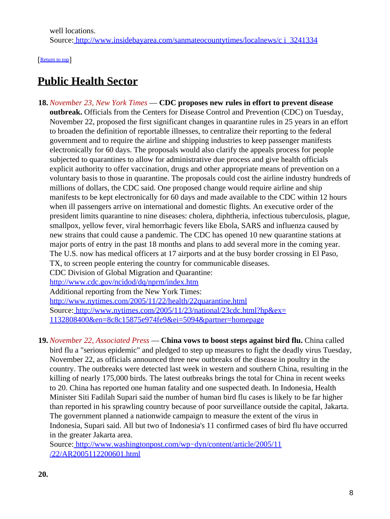[[Return to top](#page-0-1)]

# <span id="page-7-1"></span>**Public Health Sector**

- <span id="page-7-0"></span>**18.** *November 23, New York Times* — **CDC proposes new rules in effort to prevent disease outbreak.** Officials from the Centers for Disease Control and Prevention (CDC) on Tuesday, November 22, proposed the first significant changes in quarantine rules in 25 years in an effort to broaden the definition of reportable illnesses, to centralize their reporting to the federal government and to require the airline and shipping industries to keep passenger manifests electronically for 60 days. The proposals would also clarify the appeals process for people subjected to quarantines to allow for administrative due process and give health officials explicit authority to offer vaccination, drugs and other appropriate means of prevention on a voluntary basis to those in quarantine. The proposals could cost the airline industry hundreds of millions of dollars, the CDC said. One proposed change would require airline and ship manifests to be kept electronically for 60 days and made available to the CDC within 12 hours when ill passengers arrive on international and domestic flights. An executive order of the president limits quarantine to nine diseases: cholera, diphtheria, infectious tuberculosis, plague, smallpox, yellow fever, viral hemorrhagic fevers like Ebola, SARS and influenza caused by new strains that could cause a pandemic. The CDC has opened 10 new quarantine stations at major ports of entry in the past 18 months and plans to add several more in the coming year. The U.S. now has medical officers at 17 airports and at the busy border crossing in El Paso, TX, to screen people entering the country for communicable diseases. CDC Division of Global Migration and Quarantine: <http://www.cdc.gov/ncidod/dq/nprm/index.htm> Additional reporting from the New York Times: <http://www.nytimes.com/2005/11/22/health/22quarantine.html> Source[: http://www.nytimes.com/2005/11/23/national/23cdc.html?hp&ex=](http://www.nytimes.com/2005/11/23/national/23cdc.html?hp&ex=1132808400&en=8c8c15875e974fe9&ei=5094&partner=homepage) [1132808400&en=8c8c15875e974fe9&ei=5094&partner=homepage](http://www.nytimes.com/2005/11/23/national/23cdc.html?hp&ex=1132808400&en=8c8c15875e974fe9&ei=5094&partner=homepage)
- **19.** *November 22, Associated Press* — **China vows to boost steps against bird flu.** China called bird flu a "serious epidemic" and pledged to step up measures to fight the deadly virus Tuesday, November 22, as officials announced three new outbreaks of the disease in poultry in the country. The outbreaks were detected last week in western and southern China, resulting in the killing of nearly 175,000 birds. The latest outbreaks brings the total for China in recent weeks to 20. China has reported one human fatality and one suspected death. In Indonesia, Health Minister Siti Fadilah Supari said the number of human bird flu cases is likely to be far higher than reported in his sprawling country because of poor surveillance outside the capital, Jakarta. The government planned a nationwide campaign to measure the extent of the virus in Indonesia, Supari said. All but two of Indonesia's 11 confirmed cases of bird flu have occurred in the greater Jakarta area.

Source[: http://www.washingtonpost.com/wp−dyn/content/article/2005/11](http://www.washingtonpost.com/wp-dyn/content/article/2005/11/22/AR2005112200601.html) [/22/AR2005112200601.html](http://www.washingtonpost.com/wp-dyn/content/article/2005/11/22/AR2005112200601.html)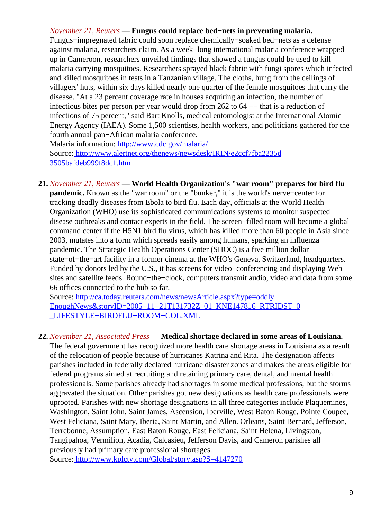### *November 21, Reuters* — **Fungus could replace bed−nets in preventing malaria.**

Fungus−impregnated fabric could soon replace chemically−soaked bed−nets as a defense against malaria, researchers claim. As a week−long international malaria conference wrapped up in Cameroon, researchers unveiled findings that showed a fungus could be used to kill malaria carrying mosquitoes. Researchers sprayed black fabric with fungi spores which infected and killed mosquitoes in tests in a Tanzanian village. The cloths, hung from the ceilings of villagers' huts, within six days killed nearly one quarter of the female mosquitoes that carry the disease. "At a 23 percent coverage rate in houses acquiring an infection, the number of infectious bites per person per year would drop from 262 to 64 −− that is a reduction of infections of 75 percent," said Bart Knolls, medical entomologist at the International Atomic Energy Agency (IAEA). Some 1,500 scientists, health workers, and politicians gathered for the fourth annual pan−African malaria conference.

Malaria information[: http://www.cdc.gov/malaria/](http://www.cdc.gov/malaria/) Source[: http://www.alertnet.org/thenews/newsdesk/IRIN/e2ccf7fba2235d](http://www.alertnet.org/thenews/newsdesk/IRIN/e2ccf7fba2235d3505bafdeb999f8dc1.htm) [3505bafdeb999f8dc1.htm](http://www.alertnet.org/thenews/newsdesk/IRIN/e2ccf7fba2235d3505bafdeb999f8dc1.htm)

**21.** *November 21, Reuters* — **World Health Organization's "war room" prepares for bird flu pandemic.** Known as the "war room" or the "bunker," it is the world's nerve−center for tracking deadly diseases from Ebola to bird flu. Each day, officials at the World Health Organization (WHO) use its sophisticated communications systems to monitor suspected disease outbreaks and contact experts in the field. The screen−filled room will become a global command center if the H5N1 bird flu virus, which has killed more than 60 people in Asia since 2003, mutates into a form which spreads easily among humans, sparking an influenza pandemic. The Strategic Health Operations Center (SHOC) is a five million dollar state−of−the−art facility in a former cinema at the WHO's Geneva, Switzerland, headquarters. Funded by donors led by the U.S., it has screens for video−conferencing and displaying Web sites and satellite feeds. Round−the−clock, computers transmit audio, video and data from some 66 offices connected to the hub so far.

Source[: http://ca.today.reuters.com/news/newsArticle.aspx?type=oddly](http://ca.today.reuters.com/news/newsArticle.aspx?type=oddlyEnoughNews&storyID=2005-11-21T131732Z_01_KNE147816_RTRIDST_0_LIFESTYLE-BIRDFLU-ROOM-COL.XML) [EnoughNews&storyID=2005−11−21T131732Z\\_01\\_KNE147816\\_RTRIDST\\_0](http://ca.today.reuters.com/news/newsArticle.aspx?type=oddlyEnoughNews&storyID=2005-11-21T131732Z_01_KNE147816_RTRIDST_0_LIFESTYLE-BIRDFLU-ROOM-COL.XML) [\\_LIFESTYLE−BIRDFLU−ROOM−COL.XML](http://ca.today.reuters.com/news/newsArticle.aspx?type=oddlyEnoughNews&storyID=2005-11-21T131732Z_01_KNE147816_RTRIDST_0_LIFESTYLE-BIRDFLU-ROOM-COL.XML)

#### **22.** *November 21, Associated Press* — **Medical shortage declared in some areas of Louisiana.**

The federal government has recognized more health care shortage areas in Louisiana as a result of the relocation of people because of hurricanes Katrina and Rita. The designation affects parishes included in federally declared hurricane disaster zones and makes the areas eligible for federal programs aimed at recruiting and retaining primary care, dental, and mental health professionals. Some parishes already had shortages in some medical professions, but the storms aggravated the situation. Other parishes got new designations as health care professionals were uprooted. Parishes with new shortage designations in all three categories include Plaquemines, Washington, Saint John, Saint James, Ascension, Iberville, West Baton Rouge, Pointe Coupee, West Feliciana, Saint Mary, Iberia, Saint Martin, and Allen. Orleans, Saint Bernard, Jefferson, Terrebonne, Assumption, East Baton Rouge, East Feliciana, Saint Helena, Livingston, Tangipahoa, Vermilion, Acadia, Calcasieu, Jefferson Davis, and Cameron parishes all previously had primary care professional shortages.

Source[: http://www.kplctv.com/Global/story.asp?S=4147270](http://www.kplctv.com/Global/story.asp?S=4147270)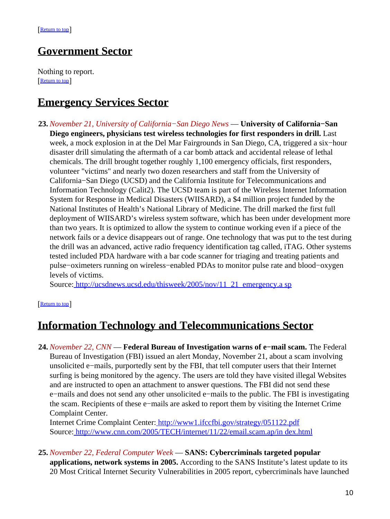## <span id="page-9-1"></span>**Government Sector**

Nothing to report. [[Return to top](#page-0-1)]

## <span id="page-9-2"></span>**Emergency Services Sector**

**23.** *November 21, University of California−San Diego News* — **University of California−San Diego engineers, physicians test wireless technologies for first responders in drill.** Last week, a mock explosion in at the Del Mar Fairgrounds in San Diego, CA, triggered a six−hour disaster drill simulating the aftermath of a car bomb attack and accidental release of lethal chemicals. The drill brought together roughly 1,100 emergency officials, first responders, volunteer "victims" and nearly two dozen researchers and staff from the University of California−San Diego (UCSD) and the California Institute for Telecommunications and Information Technology (Calit2). The UCSD team is part of the Wireless Internet Information System for Response in Medical Disasters (WIISARD), a \$4 million project funded by the National Institutes of Health's National Library of Medicine. The drill marked the first full deployment of WIISARD's wireless system software, which has been under development more than two years. It is optimized to allow the system to continue working even if a piece of the network fails or a device disappears out of range. One technology that was put to the test during the drill was an advanced, active radio frequency identification tag called, iTAG. Other systems tested included PDA hardware with a bar code scanner for triaging and treating patients and pulse−oximeters running on wireless−enabled PDAs to monitor pulse rate and blood−oxygen levels of victims.

Source[: http://ucsdnews.ucsd.edu/thisweek/2005/nov/11\\_21\\_emergency.a sp](http://ucsdnews.ucsd.edu/thisweek/2005/nov/11_21_emergency.asp)

#### [[Return to top](#page-0-1)]

## <span id="page-9-3"></span>**Information Technology and Telecommunications Sector**

<span id="page-9-0"></span>**24.** *November 22, CNN* — **Federal Bureau of Investigation warns of e−mail scam.** The Federal Bureau of Investigation (FBI) issued an alert Monday, November 21, about a scam involving unsolicited e−mails, purportedly sent by the FBI, that tell computer users that their Internet surfing is being monitored by the agency. The users are told they have visited illegal Websites and are instructed to open an attachment to answer questions. The FBI did not send these e−mails and does not send any other unsolicited e−mails to the public. The FBI is investigating the scam. Recipients of these e−mails are asked to report them by visiting the Internet Crime Complaint Center.

Internet Crime Complaint Center[: http://www1.ifccfbi.gov/strategy/051122.pdf](http://www1.ifccfbi.gov/strategy/051122.pdf) Source[: http://www.cnn.com/2005/TECH/internet/11/22/email.scam.ap/in dex.html](http://www.cnn.com/2005/TECH/internet/11/22/email.scam.ap/index.html)

**25.** *November 22, Federal Computer Week* — **SANS: Cybercriminals targeted popular applications, network systems in 2005.** According to the SANS Institute's latest update to its 20 Most Critical Internet Security Vulnerabilities in 2005 report, cybercriminals have launched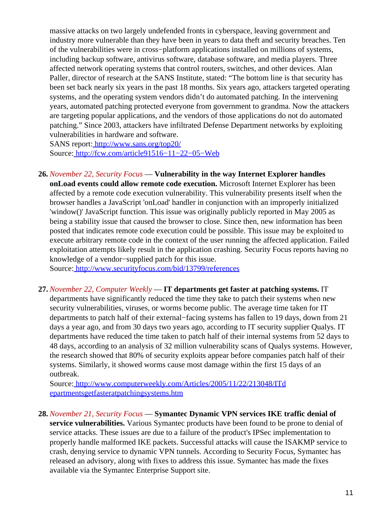massive attacks on two largely undefended fronts in cyberspace, leaving government and industry more vulnerable than they have been in years to data theft and security breaches. Ten of the vulnerabilities were in cross−platform applications installed on millions of systems, including backup software, antivirus software, database software, and media players. Three affected network operating systems that control routers, switches, and other devices. Alan Paller, director of research at the SANS Institute, stated: "The bottom line is that security has been set back nearly six years in the past 18 months. Six years ago, attackers targeted operating systems, and the operating system vendors didn't do automated patching. In the intervening years, automated patching protected everyone from government to grandma. Now the attackers are targeting popular applications, and the vendors of those applications do not do automated patching." Since 2003, attackers have infiltrated Defense Department networks by exploiting vulnerabilities in hardware and software.

SANS report:<http://www.sans.org/top20/> Source[: http://fcw.com/article91516−11−22−05−Web](http://fcw.com/article91516-11-22-05-Web)

**26.** *November 22, Security Focus* — **Vulnerability in the way Internet Explorer handles onLoad events could allow remote code execution.** Microsoft Internet Explorer has been affected by a remote code execution vulnerability. This vulnerability presents itself when the browser handles a JavaScript 'onLoad' handler in conjunction with an improperly initialized 'window()' JavaScript function. This issue was originally publicly reported in May 2005 as being a stability issue that caused the browser to close. Since then, new information has been posted that indicates remote code execution could be possible. This issue may be exploited to execute arbitrary remote code in the context of the user running the affected application. Failed exploitation attempts likely result in the application crashing. Security Focus reports having no knowledge of a vendor−supplied patch for this issue.

Source[: http://www.securityfocus.com/bid/13799/references](http://www.securityfocus.com/bid/13799/references)

**27.** *November 22, Computer Weekly* — **IT departments get faster at patching systems.** IT departments have significantly reduced the time they take to patch their systems when new security vulnerabilities, viruses, or worms become public. The average time taken for IT departments to patch half of their external−facing systems has fallen to 19 days, down from 21 days a year ago, and from 30 days two years ago, according to IT security supplier Qualys. IT departments have reduced the time taken to patch half of their internal systems from 52 days to 48 days, according to an analysis of 32 million vulnerability scans of Qualys systems. However, the research showed that 80% of security exploits appear before companies patch half of their systems. Similarly, it showed worms cause most damage within the first 15 days of an outbreak.

Source[: http://www.computerweekly.com/Articles/2005/11/22/213048/ITd](http://www.computerweekly.com/Articles/2005/11/22/213048/ITdepartmentsgetfasteratpatchingsystems.htm) [epartmentsgetfasteratpatchingsystems.htm](http://www.computerweekly.com/Articles/2005/11/22/213048/ITdepartmentsgetfasteratpatchingsystems.htm)

**28.** *November 21, Security Focus* — **Symantec Dynamic VPN services IKE traffic denial of service vulnerabilities.** Various Symantec products have been found to be prone to denial of service attacks. These issues are due to a failure of the product's IPSec implementation to properly handle malformed IKE packets. Successful attacks will cause the ISAKMP service to crash, denying service to dynamic VPN tunnels. According to Security Focus, Symantec has released an advisory, along with fixes to address this issue. Symantec has made the fixes available via the Symantec Enterprise Support site.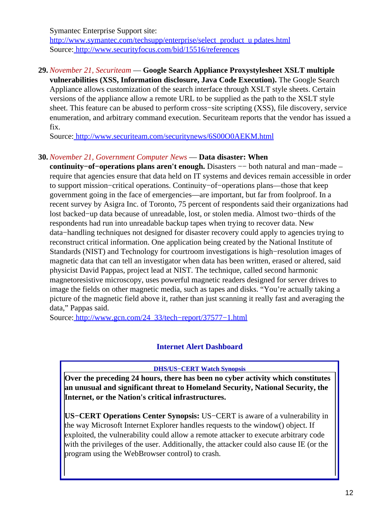Symantec Enterprise Support site: [http://www.symantec.com/techsupp/enterprise/select\\_product\\_u pdates.html](http://www.symantec.com/techsupp/enterprise/select_product_updates.html) Source[: http://www.securityfocus.com/bid/15516/references](http://www.securityfocus.com/bid/15516/references)

### **29.** *November 21, Securiteam* — **Google Search Appliance Proxystylesheet XSLT multiple**

**vulnerabilities (XSS, Information disclosure, Java Code Execution).** The Google Search Appliance allows customization of the search interface through XSLT style sheets. Certain versions of the appliance allow a remote URL to be supplied as the path to the XSLT style sheet. This feature can be abused to perform cross−site scripting (XSS), file discovery, service enumeration, and arbitrary command execution. Securiteam reports that the vendor has issued a fix.

Source[: http://www.securiteam.com/securitynews/6S00O0AEKM.html](http://www.securiteam.com/securitynews/6S00O0AEKM.html)

#### **30.** *November 21, Government Computer News* — **Data disaster: When**

**continuity−of−operations plans aren't enough.** Disasters −− both natural and man−made – require that agencies ensure that data held on IT systems and devices remain accessible in order to support mission−critical operations. Continuity−of−operations plans—those that keep government going in the face of emergencies—are important, but far from foolproof. In a recent survey by Asigra Inc. of Toronto, 75 percent of respondents said their organizations had lost backed−up data because of unreadable, lost, or stolen media. Almost two−thirds of the respondents had run into unreadable backup tapes when trying to recover data. New data−handling techniques not designed for disaster recovery could apply to agencies trying to reconstruct critical information. One application being created by the National Institute of Standards (NIST) and Technology for courtroom investigations is high−resolution images of magnetic data that can tell an investigator when data has been written, erased or altered, said physicist David Pappas, project lead at NIST. The technique, called second harmonic magnetoresistive microscopy, uses powerful magnetic readers designed for server drives to image the fields on other magnetic media, such as tapes and disks. "You're actually taking a picture of the magnetic field above it, rather than just scanning it really fast and averaging the data," Pappas said.

<span id="page-11-0"></span>Source[: http://www.gcn.com/24\\_33/tech−report/37577−1.html](http://www.gcn.com/24_33/tech-report/37577-1.html)

### **Internet Alert Dashboard**

#### **DHS/US−CERT Watch Synopsis**

**Over the preceding 24 hours, there has been no cyber activity which constitutes an unusual and significant threat to Homeland Security, National Security, the Internet, or the Nation's critical infrastructures.**

**US−CERT Operations Center Synopsis:** US−CERT is aware of a vulnerability in the way Microsoft Internet Explorer handles requests to the window() object. If exploited, the vulnerability could allow a remote attacker to execute arbitrary code with the privileges of the user. Additionally, the attacker could also cause IE (or the program using the WebBrowser control) to crash.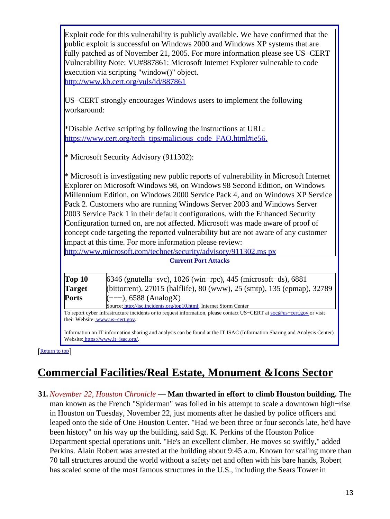|                         | Exploit code for this vulnerability is publicly available. We have confirmed that the<br>public exploit is successful on Windows 2000 and Windows XP systems that are<br>fully patched as of November 21, 2005. For more information please see US–CERT<br>Vulnerability Note: VU#887861: Microsoft Internet Explorer vulnerable to code<br>execution via scripting "window()" object.<br>http://www.kb.cert.org/vuls/id/887861                                                                                                                                                                                                                                    |
|-------------------------|--------------------------------------------------------------------------------------------------------------------------------------------------------------------------------------------------------------------------------------------------------------------------------------------------------------------------------------------------------------------------------------------------------------------------------------------------------------------------------------------------------------------------------------------------------------------------------------------------------------------------------------------------------------------|
| workaround:             | US–CERT strongly encourages Windows users to implement the following                                                                                                                                                                                                                                                                                                                                                                                                                                                                                                                                                                                               |
|                         | *Disable Active scripting by following the instructions at URL:<br>https://www.cert.org/tech_tips/malicious_code_FAQ.html#ie56.                                                                                                                                                                                                                                                                                                                                                                                                                                                                                                                                    |
|                         | * Microsoft Security Advisory (911302):                                                                                                                                                                                                                                                                                                                                                                                                                                                                                                                                                                                                                            |
|                         | Explorer on Microsoft Windows 98, on Windows 98 Second Edition, on Windows<br>Millennium Edition, on Windows 2000 Service Pack 4, and on Windows XP Service<br>Pack 2. Customers who are running Windows Server 2003 and Windows Server<br>2003 Service Pack 1 in their default configurations, with the Enhanced Security<br>Configuration turned on, are not affected. Microsoft was made aware of proof of<br>concept code targeting the reported vulnerability but are not aware of any customer<br>impact at this time. For more information please review:<br>http://www.microsoft.com/technet/security/advisory/911302.ms px<br><b>Current Port Attacks</b> |
| Top 10<br><b>Target</b> | 6346 (gnutella–svc), 1026 (win–rpc), 445 (microsoft–ds), 6881<br>(bittorrent), 27015 (halflife), 80 (www), 25 (smtp), 135 (epmap), 32789                                                                                                                                                                                                                                                                                                                                                                                                                                                                                                                           |
| <b>Ports</b>            | $(---), 6588 (AnalogX)$                                                                                                                                                                                                                                                                                                                                                                                                                                                                                                                                                                                                                                            |
|                         | Source: http://isc.incidents.org/top10.html; Internet Storm Center<br>To report cyber infrastructure incidents or to request information, please contact US-CERT at soc@us-cert.gov or visit<br>their Website: www.us-cert.gov.                                                                                                                                                                                                                                                                                                                                                                                                                                    |

# <span id="page-12-0"></span>**Commercial Facilities/Real Estate, Monument &Icons Sector**

**31.** *November 22, Houston Chronicle* — **Man thwarted in effort to climb Houston building.** The man known as the French "Spiderman" was foiled in his attempt to scale a downtown high−rise in Houston on Tuesday, November 22, just moments after he dashed by police officers and leaped onto the side of One Houston Center. "Had we been three or four seconds late, he'd have been history" on his way up the building, said Sgt. K. Perkins of the Houston Police Department special operations unit. "He's an excellent climber. He moves so swiftly," added Perkins. Alain Robert was arrested at the building about 9:45 a.m. Known for scaling more than 70 tall structures around the world without a safety net and often with his bare hands, Robert has scaled some of the most famous structures in the U.S., including the Sears Tower in